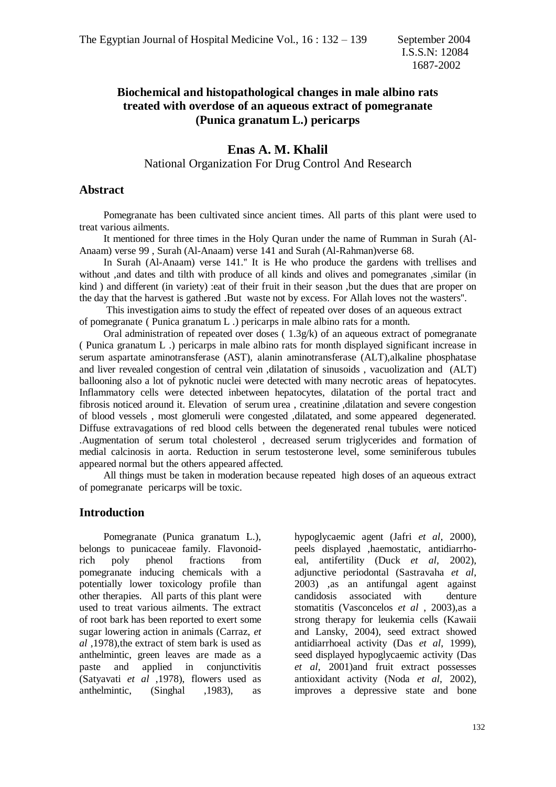# **Biochemical and histopathological changes in male albino rats treated with overdose of an aqueous extract of pomegranate (Punica granatum L.) pericarps**

### **Enas A. M. Khalil** National Organization For Drug Control And Research

#### **Abstract**

 Pomegranate has been cultivated since ancient times. All parts of this plant were used to treat various ailments.

 It mentioned for three times in the Holy Quran under the name of Rumman in Surah (Al-Anaam) verse 99 , Surah (Al-Anaam) verse 141 and Surah (Al-Rahman)verse 68.

 In Surah (Al-Anaam) verse 141.'' It is He who produce the gardens with trellises and without ,and dates and tilth with produce of all kinds and olives and pomegranates ,similar (in kind ) and different (in variety) :eat of their fruit in their season ,but the dues that are proper on the day that the harvest is gathered .But waste not by excess. For Allah loves not the wasters''.

 This investigation aims to study the effect of repeated over doses of an aqueous extract of pomegranate ( Punica granatum L .) pericarps in male albino rats for a month.

Oral administration of repeated over doses  $(1.3g/k)$  of an aqueous extract of pomegranate ( Punica granatum L .) pericarps in male albino rats for month displayed significant increase in serum aspartate aminotransferase (AST), alanin aminotransferase (ALT),alkaline phosphatase and liver revealed congestion of central vein ,dilatation of sinusoids , vacuolization and (ALT) ballooning also a lot of pyknotic nuclei were detected with many necrotic areas of hepatocytes. Inflammatory cells were detected inbetween hepatocytes, dilatation of the portal tract and fibrosis noticed around it. Elevation of serum urea , creatinine ,dilatation and severe congestion of blood vessels , most glomeruli were congested ,dilatated, and some appeared degenerated. Diffuse extravagations of red blood cells between the degenerated renal tubules were noticed .Augmentation of serum total cholesterol , decreased serum triglycerides and formation of medial calcinosis in aorta. Reduction in serum testosterone level, some seminiferous tubules appeared normal but the others appeared affected.

 All things must be taken in moderation because repeated high doses of an aqueous extract of pomegranate pericarps will be toxic.

#### **Introduction**

 Pomegranate (Punica granatum L.), belongs to punicaceae family. Flavonoidrich poly phenol fractions from pomegranate inducing chemicals with a potentially lower toxicology profile than other therapies. All parts of this plant were used to treat various ailments. The extract of root bark has been reported to exert some sugar lowering action in animals (Carraz, *et al* ,1978),the extract of stem bark is used as anthelmintic, green leaves are made as a paste and applied in conjunctivitis (Satyavati *et al* ,1978), flowers used as anthelmintic, (Singhal ,1983), as hypoglycaemic agent (Jafri *et al*, 2000), peels displayed ,haemostatic, antidiarrhoeal, antifertility (Duck *et al,* 2002), adjunctive periodontal (Sastravaha *et al*, 2003) ,as an antifungal agent against candidosis associated with denture stomatitis (Vasconcelos *et al* , 2003),as a strong therapy for leukemia cells (Kawaii and Lansky, 2004), seed extract showed antidiarrhoeal activity (Das *et al*, 1999), seed displayed hypoglycaemic activity (Das *et al,* 2001)and fruit extract possesses antioxidant activity (Noda *et al,* 2002), improves a depressive state and bone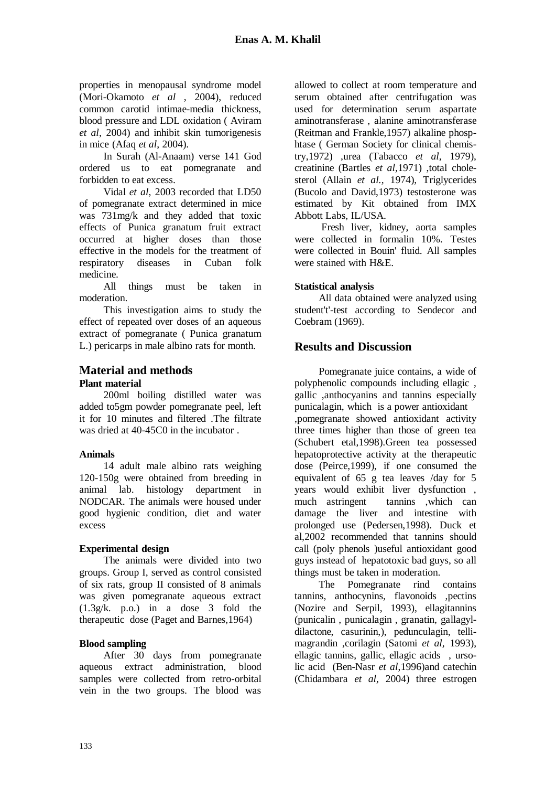properties in menopausal syndrome model (Mori-Okamoto *et al* , 2004), reduced common carotid intimae-media thickness, blood pressure and LDL oxidation ( Aviram *et al*, 2004) and inhibit skin tumorigenesis in mice (Afaq *et al*, 2004).

 In Surah (Al-Anaam) verse 141 God ordered us to eat pomegranate and forbidden to eat excess.

 Vidal *et al*, 2003 recorded that LD50 of pomegranate extract determined in mice was 731mg/k and they added that toxic effects of Punica granatum fruit extract occurred at higher doses than those effective in the models for the treatment of respiratory diseases in Cuban folk medicine.

 All things must be taken in moderation.

 This investigation aims to study the effect of repeated over doses of an aqueous extract of pomegranate ( Punica granatum L.) pericarps in male albino rats for month.

### **Material and methods**

#### **Plant material**

 200ml boiling distilled water was added to5gm powder pomegranate peel, left it for 10 minutes and filtered. The filtrate was dried at 40-45C0 in the incubator .

#### **Animals**

 14 adult male albino rats weighing 120-150g were obtained from breeding in animal lab. histology department in NODCAR. The animals were housed under good hygienic condition, diet and water excess

#### **Experimental design**

 The animals were divided into two groups. Group I, served as control consisted of six rats, group II consisted of 8 animals was given pomegranate aqueous extract (1.3g/k. p.o.) in a dose 3 fold the therapeutic dose (Paget and Barnes,1964)

#### **Blood sampling**

 After 30 days from pomegranate aqueous extract administration, blood samples were collected from retro-orbital vein in the two groups. The blood was

allowed to collect at room temperature and serum obtained after centrifugation was used for determination serum aspartate aminotransferase , alanine aminotransferase (Reitman and Frankle,1957) alkaline phosphtase ( German Society for clinical chemistry,1972) ,urea (Tabacco *et al*, 1979), creatinine (Bartles *et al,*1971) ,total cholesterol (Allain *et al.,* 1974), Triglycerides (Bucolo and David,1973) testosterone was estimated by Kit obtained from IMX Abbott Labs, IL/USA.

 Fresh liver, kidney, aorta samples were collected in formalin 10%. Testes were collected in Bouin' fluid. All samples were stained with H&E.

#### **Statistical analysis**

 All data obtained were analyzed using student't'-test according to Sendecor and Coebram (1969).

# **Results and Discussion**

 Pomegranate juice contains, a wide of polyphenolic compounds including ellagic , gallic ,anthocyanins and tannins especially punicalagin, which is a power antioxidant ,pomegranate showed antioxidant activity three times higher than those of green tea (Schubert etal,1998).Green tea possessed hepatoprotective activity at the therapeutic dose (Peirce,1999), if one consumed the equivalent of 65 g tea leaves /day for 5 years would exhibit liver dysfunction , much astringent tannins ,which can damage the liver and intestine with prolonged use (Pedersen,1998). Duck et al,2002 recommended that tannins should call (poly phenols )useful antioxidant good guys instead of hepatotoxic bad guys, so all things must be taken in moderation.

 The Pomegranate rind contains tannins, anthocynins, flavonoids ,pectins (Nozire and Serpil, 1993), ellagitannins (punicalin , punicalagin , granatin, gallagyldilactone, casurinin,), pedunculagin, tellimagrandin ,corilagin (Satomi *et al,* 1993), ellagic tannins, gallic, ellagic acids , ursolic acid (Ben-Nasr *et al*,1996)and catechin (Chidambara *et al,* 2004) three estrogen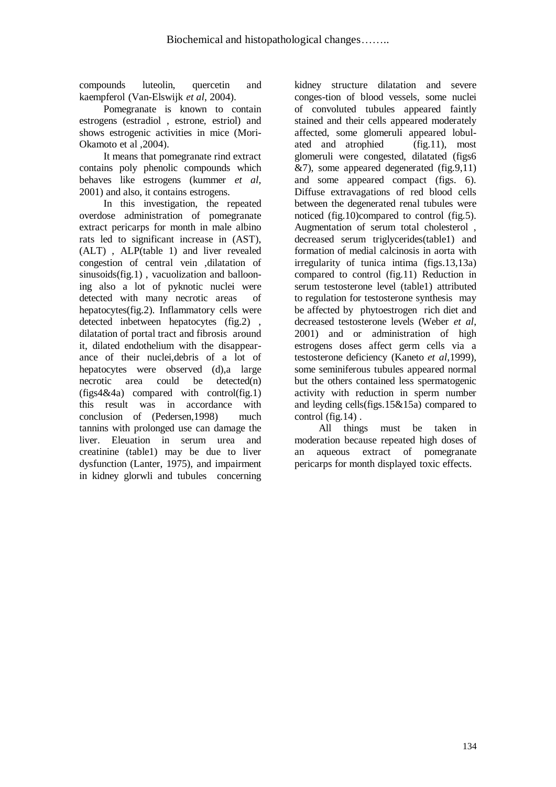compounds luteolin, quercetin and kaempferol (Van-Elswijk *et al*, 2004).

 Pomegranate is known to contain estrogens (estradiol , estrone, estriol) and shows estrogenic activities in mice (Mori-Okamoto et al ,2004).

 It means that pomegranate rind extract contains poly phenolic compounds which behaves like estrogens (kummer *et al,*  2001) and also, it contains estrogens.

 In this investigation, the repeated overdose administration of pomegranate extract pericarps for month in male albino rats led to significant increase in (AST), (ALT) , ALP(table 1) and liver revealed congestion of central vein ,dilatation of sinusoids(fig.1) , vacuolization and ballooning also a lot of pyknotic nuclei were detected with many necrotic areas of hepatocytes(fig.2). Inflammatory cells were detected inbetween hepatocytes (fig.2) , dilatation of portal tract and fibrosis around it, dilated endothelium with the disappearance of their nuclei,debris of a lot of hepatocytes were observed (d),a large necrotic area could be detected(n)  $(figgs4&4a)$  compared with control(fig.1) this result was in accordance with conclusion of (Pedersen,1998) much tannins with prolonged use can damage the liver. Eleuation in serum urea and creatinine (table1) may be due to liver dysfunction (Lanter, 1975), and impairment in kidney glorwli and tubules concerning

kidney structure dilatation and severe conges-tion of blood vessels, some nuclei of convoluted tubules appeared faintly stained and their cells appeared moderately affected, some glomeruli appeared lobulated and atrophied (fig.11), most glomeruli were congested, dilatated (figs6  $&7$ ), some appeared degenerated (fig.9,11) and some appeared compact (figs. 6). Diffuse extravagations of red blood cells between the degenerated renal tubules were noticed (fig.10)compared to control (fig.5). Augmentation of serum total cholesterol , decreased serum triglycerides(table1) and formation of medial calcinosis in aorta with irregularity of tunica intima (figs.13,13a) compared to control (fig.11) Reduction in serum testosterone level (table1) attributed to regulation for testosterone synthesis may be affected by phytoestrogen rich diet and decreased testosterone levels (Weber *et al*, 2001) and or administration of high estrogens doses affect germ cells via a testosterone deficiency (Kaneto *et al*,1999), some seminiferous tubules appeared normal but the others contained less spermatogenic activity with reduction in sperm number and leyding cells(figs.15&15a) compared to control (fig.14) .

 All things must be taken in moderation because repeated high doses of an aqueous extract of pomegranate pericarps for month displayed toxic effects.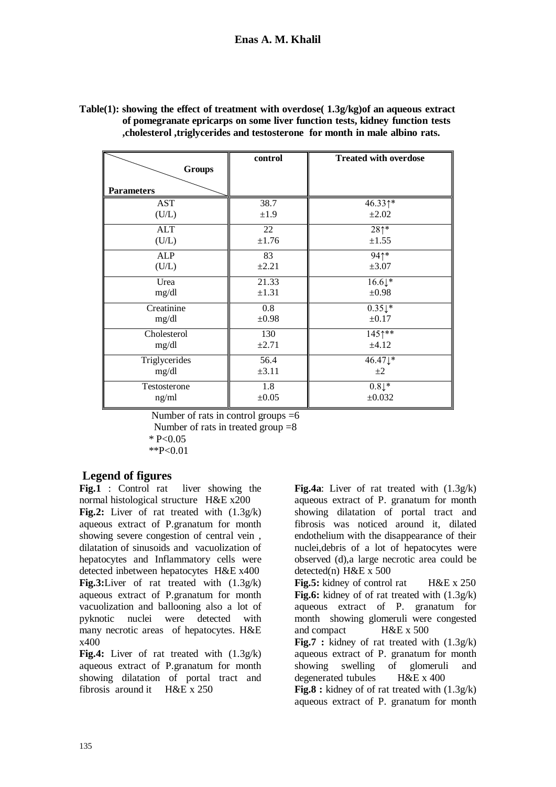| <b>Groups</b><br><b>Parameters</b> | control    | <b>Treated with overdose</b> |
|------------------------------------|------------|------------------------------|
| <b>AST</b>                         | 38.7       | 46.331*                      |
| (U/L)                              | ±1.9       | $\pm 2.02$                   |
| <b>ALT</b>                         | 22         | $28*$                        |
| (U/L)                              | ±1.76      | $\pm 1.55$                   |
| <b>ALP</b>                         | 83         | 941*                         |
| (U/L)                              | $\pm 2.21$ | $\pm 3.07$                   |
| Urea                               | 21.33      | $16.6\downarrow$ *           |
| mg/dl                              | $\pm 1.31$ | $\pm 0.98$                   |
| Creatinine                         | 0.8        | $0.35\downarrow$ *           |
| mg/dl                              | $\pm 0.98$ | $\pm 0.17$                   |
| Cholesterol                        | 130        | 1451**                       |
| mg/dl                              | ±2.71      | ±4.12                        |
| Triglycerides                      | 56.4       | 46.47↓*                      |
| mg/dl                              | $\pm 3.11$ | $\pm 2$                      |
| Testosterone                       | 1.8        | $0.8\downarrow$ *            |
| ng/ml                              | $\pm 0.05$ | ±0.032                       |

**Table(1): showing the effect of treatment with overdose( 1.3g/kg)of an aqueous extract of pomegranate epricarps on some liver function tests, kidney function tests ,cholesterol ,triglycerides and testosterone for month in male albino rats.**

Number of rats in control groups  $=6$ Number of rats in treated group  $=8$  $* P < 0.05$  $*P<0.01$ 

# **Legend of figures**

Fig.1 : Control rat liver showing the normal histological structure H&E x200 **Fig.2:** Liver of rat treated with (1.3g/k) aqueous extract of P.granatum for month showing severe congestion of central vein , dilatation of sinusoids and vacuolization of hepatocytes and Inflammatory cells were detected inbetween hepatocytes H&E x400 **Fig.3:**Liver of rat treated with (1.3g/k) aqueous extract of P.granatum for month vacuolization and ballooning also a lot of pyknotic nuclei were detected with many necrotic areas of hepatocytes. H&E x400

**Fig.4:** Liver of rat treated with (1.3g/k) aqueous extract of P.granatum for month showing dilatation of portal tract and fibrosis around it H&E x 250

**Fig.4a**: Liver of rat treated with (1.3g/k) aqueous extract of P. granatum for month showing dilatation of portal tract and fibrosis was noticed around it, dilated endothelium with the disappearance of their nuclei,debris of a lot of hepatocytes were observed (d),a large necrotic area could be detected(n) H&E x 500

**Fig.5:** kidney of control rat H&E x 250 **Fig.6:** kidney of of rat treated with (1.3g/k) aqueous extract of P. granatum for month showing glomeruli were congested and compact H&E x 500 **Fig.7** : kidney of rat treated with  $(1.3g/k)$ aqueous extract of P. granatum for month showing swelling of glomeruli and degenerated tubules H&E x 400 **Fig.8 :** kidney of of rat treated with (1.3g/k) aqueous extract of P. granatum for month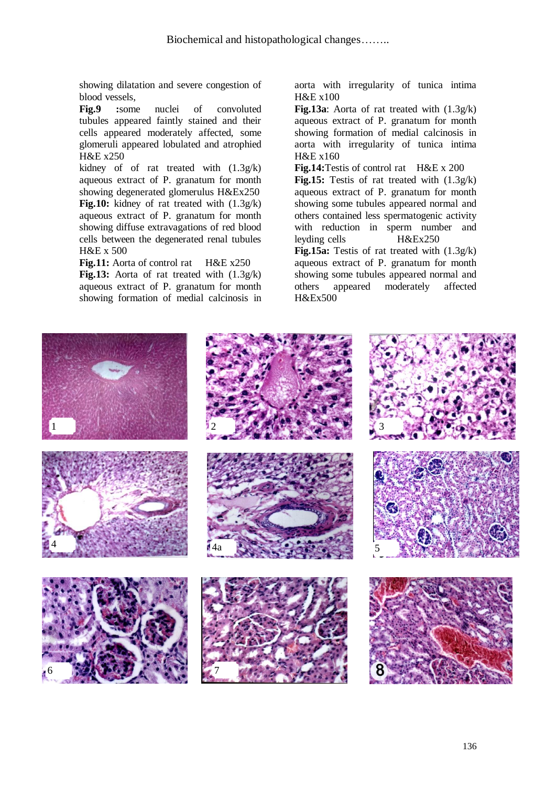showing dilatation and severe congestion of blood vessels,

**Fig.9 :**some nuclei of convoluted tubules appeared faintly stained and their cells appeared moderately affected, some glomeruli appeared lobulated and atrophied H&E x250

kidney of of rat treated with (1.3g/k) aqueous extract of P. granatum for month showing degenerated glomerulus H&Ex250 **Fig.10:** kidney of rat treated with (1.3g/k) aqueous extract of P. granatum for month showing diffuse extravagations of red blood cells between the degenerated renal tubules H&E x 500

**Fig.11:** Aorta of control rat H&E x250 **Fig.13:** Aorta of rat treated with (1.3g/k) aqueous extract of P. granatum for month showing formation of medial calcinosis in aorta with irregularity of tunica intima H&E x100

**Fig.13a**: Aorta of rat treated with (1.3g/k) aqueous extract of P. granatum for month showing formation of medial calcinosis in aorta with irregularity of tunica intima H&E x160

**Fig.14:**Testis of control rat H&E x 200 **Fig.15:** Testis of rat treated with (1.3g/k) aqueous extract of P. granatum for month showing some tubules appeared normal and others contained less spermatogenic activity with reduction in sperm number and leyding cells H&Ex250 **Fig.15a:** Testis of rat treated with (1.3g/k)

aqueous extract of P. granatum for month showing some tubules appeared normal and others appeared moderately affected H&Ex500

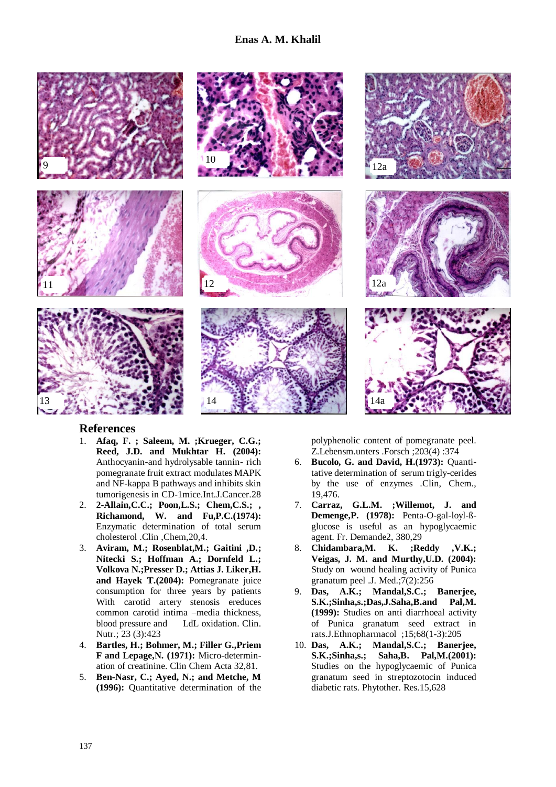

### **References**

- 1. **Afaq, F. ; Saleem, M. ;Krueger, C.G.; Reed, J.D. and Mukhtar H. (2004):**  Anthocyanin-and hydrolysable tannin- rich pomegranate fruit extract modulates MAPK and NF-kappa B pathways and inhibits skin tumorigenesis in CD-1mice.Int.J.Cancer.28
- 2. **2-Allain,C.C.; Poon,L.S.; Chem,C.S.; , Richamond, W. and Fu,P.C.(1974):**  Enzymatic determination of total serum cholesterol .Clin ,Chem,20,4.
- 3. **Aviram, M.; Rosenblat,M.; Gaitini ,D.; Nitecki S.; Hoffman A.; Dornfeld L.; Volkova N.;Presser D.; Attias J. Liker,H. and Hayek T.(2004):** Pomegranate juice consumption for three years by patients With carotid artery stenosis ereduces common carotid intima –media thickness, blood pressure and LdL oxidation. Clin. Nutr.; 23 (3):423
- 4. **Bartles, H.; Bohmer, M.; Filler G.,Priem F and Lepage,N. (1971):** Micro-determination of creatinine. Clin Chem Acta 32,81.
- 5. **Ben-Nasr, C.; Ayed, N.; and Metche, M (1996):** Quantitative determination of the

polyphenolic content of pomegranate peel. Z.Lebensm.unters .Forsch ;203(4) :374

- 6. **Bucolo, G. and David, H.(1973):** Quantitative determination of serum trigly-cerides by the use of enzymes .Clin, Chem., 19,476.
- 7. **Carraz, G.L.M. ;Willemot, J. and Demenge,P. (1978):** Penta-O-gal-loyl-ßglucose is useful as an hypoglycaemic agent. Fr. Demande2, 380,29
- 8. **Chidambara,M. K. ;Reddy ,V.K.; Veigas, J. M. and Murthy,U.D. (2004):**  Study on wound healing activity of Punica granatum peel .J. Med.;7(2):256
- 9. **Das, A.K.; Mandal,S.C.; Banerjee, S.K.;Sinha,s.;Das,J.Saha,B.and Pal,M. (1999):** Studies on anti diarrhoeal activity of Punica granatum seed extract in rats.J.Ethnopharmacol ;15;68(1-3):205
- 10. **Das, A.K.; Mandal,S.C.; Banerjee, S.K.;Sinha,s.; Saha,B. Pal,M.(2001):** Studies on the hypoglycaemic of Punica granatum seed in streptozotocin induced diabetic rats. Phytother. Res.15,628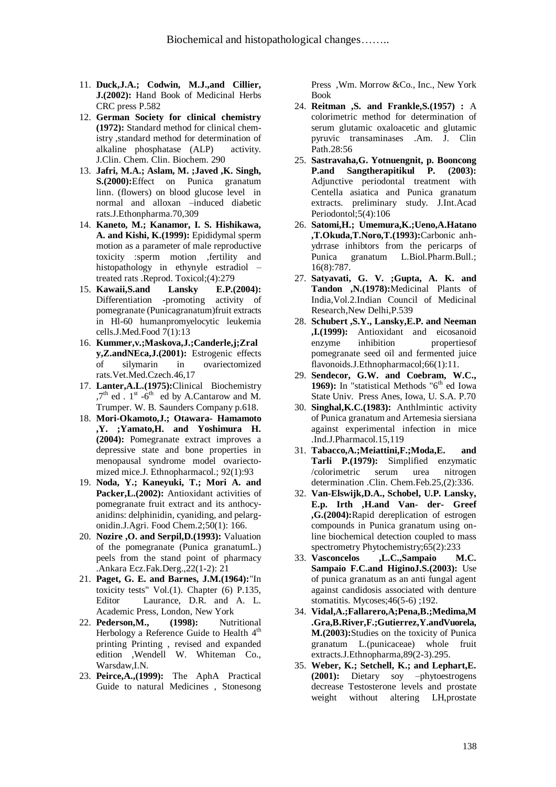- 11. **Duck,J.A.; Codwin, M.J.,and Cillier, J.(2002):** Hand Book of Medicinal Herbs CRC press P.582
- 12. **German Society for clinical chemistry (1972):** Standard method for clinical chemistry ,standard method for determination of alkaline phosphatase (ALP) activity. J.Clin. Chem. Clin. Biochem. 290
- 13. **Jafri, M.A.; Aslam, M. ;Javed ,K. Singh, S.(2000):**Effect on Punica granatum linn. (flowers) on blood glucose level in normal and alloxan –induced diabetic rats.J.Ethonpharma.70,309
- 14. **Kaneto, M.; Kanamor, I. S. Hishikawa, A. and Kishi, K.(1999):** Epididymal sperm motion as a parameter of male reproductive toxicity :sperm motion ,fertility and histopathology in ethynyle estradiol – treated rats .Reprod. Toxicol;(4):279
- 15. **Kawaii,S.and Lansky E.P.(2004):**  Differentiation -promoting activity of pomegranate (Punicagranatum)fruit extracts in Hl-60 humanpromyelocytic leukemia cells.J.Med.Food 7(1):13
- 16. **Kummer,v.;Maskova,J.;Canderle,j;Zral y,Z.andNEca,J.(2001):** Estrogenic effects of silymarin in ovariectomized rats.Vet.Med.Czech.46,17
- 17. **Lanter,A.L.(1975):**Clinical Biochemistry  $7<sup>th</sup>$  ed . 1<sup>st</sup> -6<sup>th</sup> ed by A.Cantarow and M. Trumper. W. B. Saunders Company p.618.
- 18. **Mori-Okamoto,J.; Otawara- Hamamoto ,Y. ;Yamato,H. and Yoshimura H. (2004):** Pomegranate extract improves a depressive state and bone properties in menopausal syndrome model ovariectomized mice.J. Ethnopharmacol.; 92(1):93
- 19. **Noda, Y.; Kaneyuki, T.; Mori A. and Packer,L.(2002):** Antioxidant activities of pomegranate fruit extract and its anthocyanidins: delphinidin, cyaniding, and pelargonidin.J.Agri. Food Chem.2;50(1): 166.
- 20. **Nozire ,O. and Serpil,D.(1993):** Valuation of the pomegranate (Punica granatumL.) peels from the stand point of pharmacy .Ankara Ecz.Fak.Derg.,22(1-2): 21
- 21. **Paget, G. E. and Barnes, J.M.(1964):**"In toxicity tests" Vol.(1). Chapter (6) P.135, Editor Laurance, D.R. and A. L. Academic Press, London, New York
- 22. **Pederson,M., (1998):** Nutritional Herbology a Reference Guide to Health  $4<sup>th</sup>$ printing Printing , revised and expanded edition ,Wendell W. Whiteman Co., Warsdaw,I.N.
- 23. **Peirce,A.,(1999):** The AphA Practical Guide to natural Medicines , Stonesong

Press ,Wm. Morrow &Co., Inc., New York Book

- 24. **Reitman ,S. and Frankle,S.(1957) :** A colorimetric method for determination of serum glutamic oxaloacetic and glutamic pyruvic transaminases .Am. J. Clin Path.28:56
- 25. **Sastravaha,G. Yotnuengnit, p. Booncong P.and Sangtherapitikul P. (2003):**  Adjunctive periodontal treatment with Centella asiatica and Punica granatum extracts. preliminary study. J.Int.Acad Periodontol;5(4):106
- 26. **Satomi,H.; Umemura,K.;Ueno,A.Hatano ,T.Okuda,T.Noro,T.(1993):**Carbonic anhydrrase inhibtors from the pericarps of Punica granatum L.Biol.Pharm.Bull.; 16(8):787.
- 27. **Satyavati, G. V. ;Gupta, A. K. and Tandon ,N.(1978):**Medicinal Plants of India,Vol.2.Indian Council of Medicinal Research,New Delhi,P.539
- 28. **Schubert ,S.Y., Lansky,E.P. and Neeman ,I.(1999):** Antioxidant and eicosanoid enzyme inhibition propertiesof pomegranate seed oil and fermented juice flavonoids.J.Ethnopharmacol;66(1):11.
- 29. **Sendecor, G.W. and Coebram, W.C., 1969):** In "statistical Methods "6<sup>th</sup> ed Iowa" State Univ. Press Anes, Iowa, U. S.A. P.70
- 30. **Singhal,K.C.(1983):** Anthlmintic activity of Punica granatum and Artemesia siersiana against experimental infection in mice .Ind.J.Pharmacol.15,119
- 31. **Tabacco,A.;Meiattini,F.;Moda,E. and Tarli P.(1979):** Simplified enzymatic /colorimetric serum urea nitrogen determination .Clin. Chem.Feb.25,(2):336.
- 32. **Van-Elswijk,D.A., Schobel, U.P. Lansky, E.p. Irth ,H.and Van- der- Greef ,G.(2004):**Rapid dereplication of estrogen compounds in Punica granatum using online biochemical detection coupled to mass spectrometry Phytochemistry;65(2):233
- 33. **Vasconcelos ,L.C.,Sampaio M.C. Sampaio F.C.and HiginoJ.S.(2003):** Use of punica granatum as an anti fungal agent against candidosis associated with denture stomatitis. Mycoses;46(5-6) ;192.
- 34. **Vidal,A.;Fallarero,A;Pena,B.;Medima,M .Gra,B.River,F.;Gutierrez,Y.andVuorela, M.(2003):**Studies on the toxicity of Punica granatum L.(punicaceae) whole fruit extracts.J.Ethnopharma,89(2-3).295.
- 35. **Weber, K.; Setchell, K.; and Lephart,E. (2001):** Dietary soy –phytoestrogens decrease Testosterone levels and prostate weight without altering LH,prostate